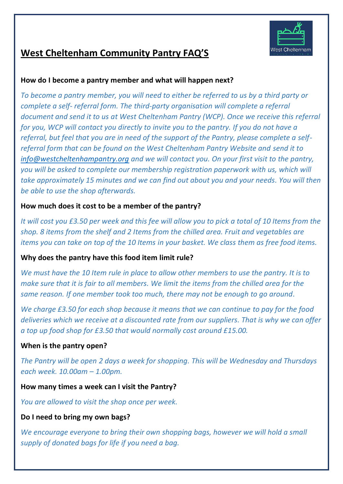

# **West Cheltenham Community Pantry FAQ'S**

## **How do I become a pantry member and what will happen next?**

*To become a pantry member, you will need to either be referred to us by a third party or complete a self- referral form. The third-party organisation will complete a referral document and send it to us at West Cheltenham Pantry (WCP). Once we receive this referral for you, WCP will contact you directly to invite you to the pantry. If you do not have a referral, but feel that you are in need of the support of the Pantry, please complete a selfreferral form that can be found on the West Cheltenham Pantry Website and send it to [info@westcheltenhampantry.org](mailto:info@westcheltenhampantry.org) and we will contact you. On your first visit to the pantry, you will be asked to complete our membership registration paperwork with us, which will take approximately 15 minutes and we can find out about you and your needs. You will then be able to use the shop afterwards.*

# **How much does it cost to be a member of the pantry?**

*It will cost you £3.50 per week and this fee will allow you to pick a total of 10 Items from the shop. 8 items from the shelf and 2 Items from the chilled area. Fruit and vegetables are items you can take on top of the 10 Items in your basket. We class them as free food items.*

# **Why does the pantry have this food item limit rule?**

*We must have the 10 Item rule in place to allow other members to use the pantry. It is to make sure that it is fair to all members. We limit the items from the chilled area for the same reason. If one member took too much, there may not be enough to go around.*

*We charge £3.50 for each shop because it means that we can continue to pay for the food deliveries which we receive at a discounted rate from our suppliers. That is why we can offer a top up food shop for £3.50 that would normally cost around £15.00.*

# **When is the pantry open?**

*The Pantry will be open 2 days a week for shopping. This will be Wednesday and Thursdays each week. 10.00am – 1.00pm.*

#### **How many times a week can I visit the Pantry?**

*You are allowed to visit the shop once per week.*

#### **Do I need to bring my own bags?**

*We encourage everyone to bring their own shopping bags, however we will hold a small supply of donated bags for life if you need a bag.*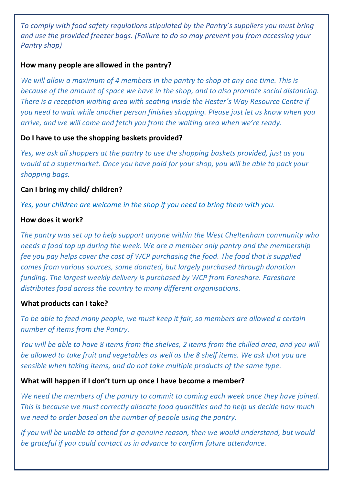*To comply with food safety regulations stipulated by the Pantry's suppliers you must bring and use the provided freezer bags. (Failure to do so may prevent you from accessing your Pantry shop)*

#### **How many people are allowed in the pantry?**

*We will allow a maximum of 4 members in the pantry to shop at any one time. This is because of the amount of space we have in the shop, and to also promote social distancing. There is a reception waiting area with seating inside the Hester's Way Resource Centre if you need to wait while another person finishes shopping. Please just let us know when you arrive, and we will come and fetch you from the waiting area when we're ready.*

## **Do I have to use the shopping baskets provided?**

*Yes, we ask all shoppers at the pantry to use the shopping baskets provided, just as you would at a supermarket. Once you have paid for your shop, you will be able to pack your shopping bags.*

## **Can I bring my child/ children?**

*Yes, your children are welcome in the shop if you need to bring them with you.*

## **How does it work?**

*The pantry was set up to help support anyone within the West Cheltenham community who needs a food top up during the week. We are a member only pantry and the membership fee you pay helps cover the cost of WCP purchasing the food. The food that is supplied comes from various sources, some donated, but largely purchased through donation funding. The largest weekly delivery is purchased by WCP from Fareshare. Fareshare distributes food across the country to many different organisations.*

#### **What products can I take?**

*To be able to feed many people, we must keep it fair, so members are allowed a certain number of items from the Pantry.* 

*You will be able to have 8 items from the shelves, 2 items from the chilled area, and you will be allowed to take fruit and vegetables as well as the 8 shelf items. We ask that you are sensible when taking items, and do not take multiple products of the same type.* 

# **What will happen if I don't turn up once I have become a member?**

*We need the members of the pantry to commit to coming each week once they have joined. This is because we must correctly allocate food quantities and to help us decide how much we need to order based on the number of people using the pantry.*

*If you will be unable to attend for a genuine reason, then we would understand, but would be grateful if you could contact us in advance to confirm future attendance.*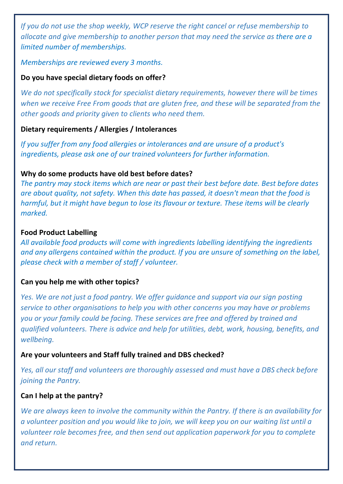*If you do not use the shop weekly, WCP reserve the right cancel or refuse membership to allocate and give membership to another person that may need the service as there are a limited number of memberships.*

*Memberships are reviewed every 3 months.*

# **Do you have special dietary foods on offer?**

*We do not specifically stock for specialist dietary requirements, however there will be times when we receive Free From goods that are gluten free, and these will be separated from the other goods and priority given to clients who need them.*

## **Dietary requirements / Allergies / Intolerances**

*If you suffer from any food allergies or intolerances and are unsure of a product's ingredients, please ask one of our trained volunteers for further information.*

## **Why do some products have old best before dates?**

*The pantry may stock items which are near or past their best before date. Best before dates are about quality, not safety. When this date has passed, it doesn't mean that the food is harmful, but it might have begun to lose its flavour or texture. These items will be clearly marked.*

#### **Food Product Labelling**

*All available food products will come with ingredients labelling identifying the ingredients and any allergens contained within the product. If you are unsure of something on the label, please check with a member of staff / volunteer.*

# **Can you help me with other topics?**

*Yes. We are not just a food pantry. We offer guidance and support via our sign posting service to other organisations to help you with other concerns you may have or problems you or your family could be facing. These services are free and offered by trained and qualified volunteers. There is advice and help for utilities, debt, work, housing, benefits, and wellbeing.*

# **Are your volunteers and Staff fully trained and DBS checked?**

*Yes, all our staff and volunteers are thoroughly assessed and must have a DBS check before joining the Pantry.*

#### **Can I help at the pantry?**

*We are always keen to involve the community within the Pantry. If there is an availability for a volunteer position and you would like to join, we will keep you on our waiting list until a volunteer role becomes free, and then send out application paperwork for you to complete and return.*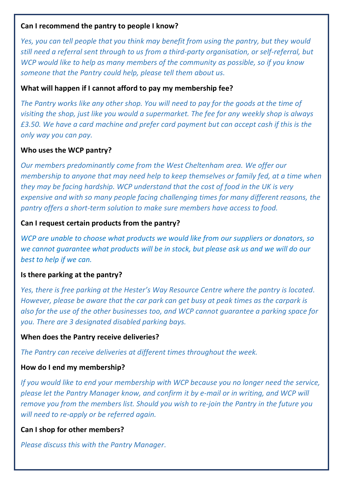#### **Can I recommend the pantry to people I know?**

*Yes, you can tell people that you think may benefit from using the pantry, but they would still need a referral sent through to us from a third-party organisation, or self-referral, but WCP would like to help as many members of the community as possible, so if you know someone that the Pantry could help, please tell them about us.*

### **What will happen if I cannot afford to pay my membership fee?**

*The Pantry works like any other shop. You will need to pay for the goods at the time of visiting the shop, just like you would a supermarket. The fee for any weekly shop is always £3.50. We have a card machine and prefer card payment but can accept cash if this is the only way you can pay.*

## **Who uses the WCP pantry?**

*Our members predominantly come from the West Cheltenham area. We offer our membership to anyone that may need help to keep themselves or family fed, at a time when they may be facing hardship. WCP understand that the cost of food in the UK is very expensive and with so many people facing challenging times for many different reasons, the pantry offers a short-term solution to make sure members have access to food.*

## **Can I request certain products from the pantry?**

*WCP are unable to choose what products we would like from our suppliers or donators, so we cannot guarantee what products will be in stock, but please ask us and we will do our best to help if we can.*

#### **Is there parking at the pantry?**

*Yes, there is free parking at the Hester's Way Resource Centre where the pantry is located. However, please be aware that the car park can get busy at peak times as the carpark is also for the use of the other businesses too, and WCP cannot guarantee a parking space for you. There are 3 designated disabled parking bays.*

#### **When does the Pantry receive deliveries?**

*The Pantry can receive deliveries at different times throughout the week.*

# **How do I end my membership?**

*If you would like to end your membership with WCP because you no longer need the service, please let the Pantry Manager know, and confirm it by e-mail or in writing, and WCP will remove you from the members list. Should you wish to re-join the Pantry in the future you will need to re-apply or be referred again.*

#### **Can I shop for other members?**

*Please discuss this with the Pantry Manager.*